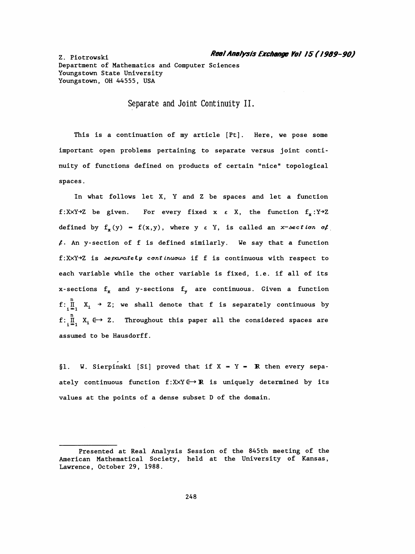Department of Mathematics and Computer Sciences Youngs town State University Youngstown, OH 44555, USA

Separate and Joint Continuity II.

This is a continuation of my article [Pt]. Here, we pose some important open problems pertaining to separate versus joint conti nuity of functions defined on products of certain "nice" topological spaces .

 In what follows let X, Y and Z be spaces and let a function f:XxY-2 be given. For every fixed x  $\varepsilon$  X, the function  $f_x : Y \rightarrow Z$ defined by  $f_x(y) = f(x,y)$ , where y  $\varepsilon$  Y, is called an x-section of  $\ell$ . An y-section of f is defined similarly. We say that a function f:XXY+Z is separately continuous if f is continuous with respect to each variable while the other variable is fixed, i.e. if all of its x-sections  $f_x$  and y-sections  $f_y$  are continuous. Given a function  $f: \prod_{i=1}^n X_i \rightarrow Z$ ; we shall denote that f is separately continuous by  $f: \prod_{i=1}^n X_i \leftrightarrow Z$ . Throughout this paper all the considered spaces are assumed to be Hausdorff.

§1. W. Sierpinski [Si] proved that if  $X = Y = \mathbb{R}$  then every sepaately continuous function  $f:XXY \rightarrow \mathbb{R}$  is uniquely determined by its values at the points of a dense subset D of the domain.

Presented at Real Analysis Session of the 845th meeting of the American Mathematical Society, held at the University of Kansas, Lawrence, October 29, 1988.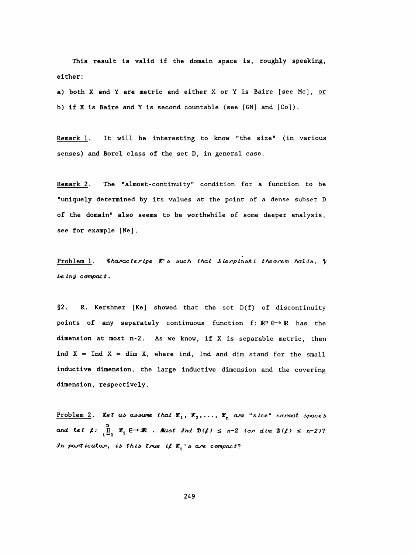This result is valid if the domain space is, roughly speaking, either:

a) both X and Y are metric and either X or Y is Baire [see Mc], or b) if X is Baire and Y is second countable (see  $[GN]$  and  $[Co]$ ).

It will be interesting to know "the size" (in various Remark 1. senses) and Borel class of the set D, in general case.

The "almost-continuity" condition for a function to be Remark 2. "uniquely determined by its values at the point of a dense subset D of the domain" also seems to be worthwhile of some deeper analysis, see for example [Ne].

Problem 1. Characterize X's such that Lierpinski theorem holds, y  $be$  ind compact.

 $§2.$ R. Kershner [Ke] showed that the set D(f) of discontinuity points of any separately continuous function f:  $\mathbb{R}^n \in \mathbb{R}$  has the dimension at most n-2. As we know, if X is separable metric, then ind  $X$  = Ind  $X$  = dim  $X$ , where ind, Ind and dim stand for the small inductive dimension, the large inductive dimension and the covering dimension, respectively.

Problem 2. Let us assume that  $\mathcal{R}_1$ ,  $\mathcal{R}_2$ ,...,  $\mathcal{R}_n$  are "nice" normal spaces and let  $\mu$ :  $\prod_{i=1}^{n} x_i \leftrightarrow \mathbb{R}$ . Must Ind  $\mathfrak{D}(\mu) \leq n-2$  (or dim  $\mathfrak{D}(\mu) \leq n-2$ )? In particular, is this true if  $\mathcal{X}_1$  s are compact?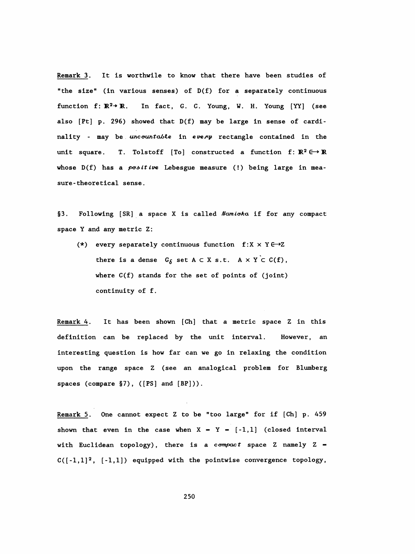Remark 3. It is worthwile to know that there have been studies of "the size" (in various senses) of D(f) for a separately continuous function  $f: \mathbb{R}^2 \rightarrow \mathbb{R}$ . In fact, G. C. Young, W. H. Young [YY] (see also [Pt] p. 296) showed that D(f) may be large in sense of cardi nality - may be uncountable in every rectangle contained in the unit square. T. Tolstoff [To] constructed a function f:  $\mathbb{R}^2 \rightarrow \mathbb{R}$ whose  $D(f)$  has a *positive* Lebesgue measure (!) being large in measure-theoretical sense.

§3. Following [SR] a space X is called Namioka if for any compact space Y and any metric Z:

(\*) every separately continuous function  $f:X \times Y \rightarrow Z$ there is a dense  $G_{\delta}$  set  $A \subset X$  s.t.  $A \times Y \subset C(f)$ , where C(f) stands for the set of points of (joint) continuity of f.

 Remark 4. It has been shown [Ch] that a metric space Z in this definition can be replaced by the unit interval. However, an interesting question is how far can we go in relaxing the condition upon the range space Z (see an analogical problem for Blumberg spaces (compare §7), ([PS] and [BP])).

 Remark 5. One cannot expect Z to be "too large" for if [Ch] p. 459 shown that even in the case when  $X - Y - [-1,1]$  (closed interval with Euclidean topology), there is a compact space Z namely  $Z =$  $C([-1,1]^2, [-1,1])$  equipped with the pointwise convergence topology,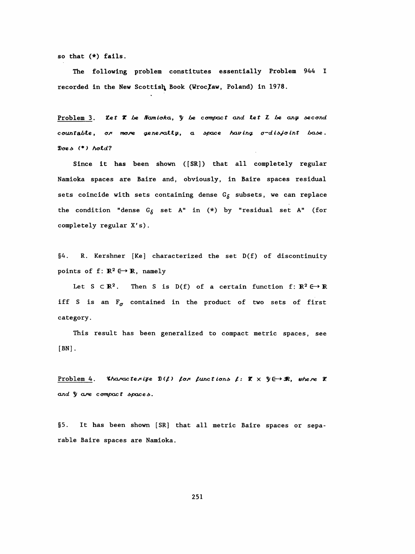so that  $(*)$  fails.

The following problem constitutes essentially Problem 944 I recorded in the New Scottish Book (Wroc/Law, Poland) in 1978.

Problem 3. Let X be Namicka, y be compact and let I be any second countable, or more generally, a space having  $\sigma$ -disjoint base. Does  $(*)$  hold?

Since it has been shown ([SR]) that all completely regular Namioka spaces are Baire and, obviously, in Baire spaces residual sets coincide with sets containing dense  $G_{\delta}$  subsets, we can replace the condition "dense  $G_{\delta}$  set A" in (\*) by "residual set A" (for completely regular X's).

 $§4.$ R. Kershner [Ke] characterized the set D(f) of discontinuity points of  $f: \mathbb{R}^2 \longrightarrow \mathbb{R}$ , namely

Let  $S \subset \mathbb{R}^2$ . Then S is D(f) of a certain function f:  $\mathbb{R}^2 \to \mathbb{R}$ iff S is an  $F_{\sigma}$  contained in the product of two sets of first category.

This result has been generalized to compact metric spaces, see  $[BN]$ .

Problem 4. Characterize  $\mathfrak{D}(f)$  for functions f:  $\mathfrak{X} \times \mathfrak{Y} \rightarrow \mathfrak{R}$ , where X and  $y$  are compact spaces.

 $§5.$ It has been shown [SR] that all metric Baire spaces or separable Baire spaces are Namioka.

251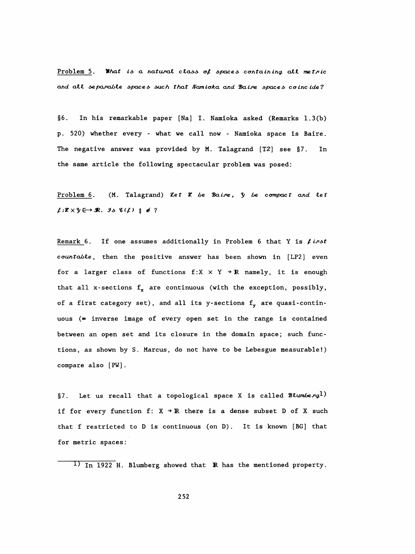Problem 5. What is a natural class of spaces containing all metric and all separable spaces such that Namioka and Baire spaces coincide?

 $§6.$ In his remarkable paper [Na] I. Namioka asked (Remarks 1.3(b) p. 520) whether every - what we call now - Namioka space is Baire. The negative answer was provided by M. Talagrand  $[T2]$  see  $\S7$ . In the same article the following spectacular problem was posed:

Problem 6. (M. Talagrand) Let X be Baire, y be compact and let  $\ell:\mathbb{X}\times\mathbb{Y}\in\mathbb{Y}$   $\mathbb{R}$ . Is  $\ell(\ell)$   $\neq$   $\neq$  ?

Remark 6. If one assumes additionally in Problem 6 that Y is  $\ell$  inst countable, then the positive answer has been shown in [LP2] even for a larger class of functions  $f:X \times Y \rightarrow \mathbb{R}$  namely, it is enough that all x-sections  $f_x$  are continuous (with the exception, possibly, of a first category set), and all its y-sections  $f_y$  are quasi-continuous (= inverse image of every open set in the range is contained between an open set and its closure in the domain space; such functions, as shown by S. Marcus, do not have to be Lebesgue measurable!) compare also [PW].

§7. Let us recall that a topological space X is called  $\mathcal{B}\mathcal{L}$ umberg<sup>1)</sup> if for every function  $f: X \rightarrow \mathbb{R}$  there is a dense subset D of X such that f restricted to D is continuous (on D). It is known [BG] that for metric spaces:

<sup>1)</sup> In 1922 H. Blumberg showed that **R** has the mentioned property.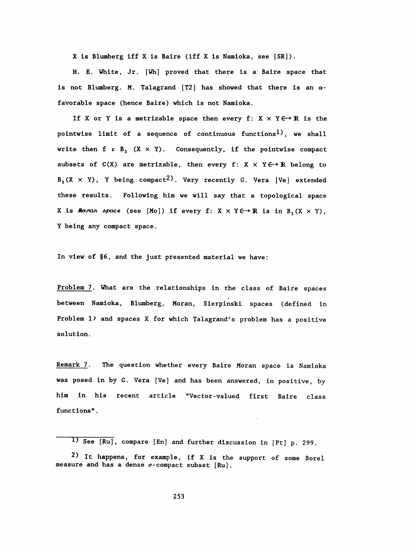X is Blumberg iff X is Baire (iff X is Namioka, see [SR]).

 H. E. White, Jr. [Wh] proved that there is a Baire space that is not Blumberg. M. Talagrand [T2] has showed that there is an  $\alpha$ favorable space (hence Baire) which is not Namioka.

If X or Y is a metrizable space then every f:  $X \times Y \rightarrow \mathbb{R}$  is the pointwise limit of a sequence of continuous functions<sup>1</sup>), we shall write then  $f \in B_1$   $(X \times Y)$ . Consequently, if the pointwise compact subsets of  $C(X)$  are metrizable, then every f:  $X \times Y \rightarrow \mathbb{R}$  belong to  $B_1(X \times Y)$ , Y being compact<sup>2</sup>). Very recently G. Vera [Ve] extended these results. Following him we will say that a topological space X is Moran space (see [Mo]) if every f: X  $\times$  Y E  $\rightarrow$  R is in B, (X  $\times$  Y), Y being any compact space.

In view of §6, and the just presented material we have:

 Problem 7. What are the relationships in the class of Baire spaces between Namioka, Blumberg, Moran, Sierpiński spaces (defined in Problem 1) and spaces X for which Talagrand's problem has a positive solution.

Remark 7. The question whether every Baire Moran space is Namioka was posed in by G. Vera [Ve] and has been answered, in positive, by him in his recent article "Vector-valued first Baire class functions" .

<sup>1)</sup> See [Ru], compare [En] and further discussion in [Pt] p. 299.

<sup>2)</sup> It happens, for example, if X is the support of some Borel measure and has a dense  $\sigma$ -compact subset [Ru].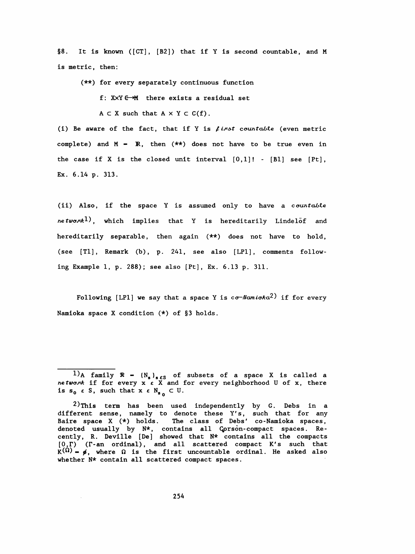§8. It is known ([CT], [B2]) that if Y is second countable, and M is metric, then:

(\*\*) for every separately continuous function

f:  $XXY \rightarrow M$  there exists a residual set

 $A \subset X$  such that  $A \times Y \subset C(f)$ .

(i) Be aware of the fact, that if Y is  $\ell$  inst countable (even metric complete) and  $M - R$ , then  $(**)$  does not have to be true even in the case if X is the closed unit interval  $[0,1]!$  -  $[Bl]$  see  $[Pt]$ , Ex. 6.14 p. 313.

(ii) Also, if the space Y is assumed only to have a countable network<sup>1</sup>), which implies that Y is hereditarily Lindelöf and hereditarily separable, then again (\*\*) does not have to hold, (see  $[T1]$ , Remark (b), p. 241, see also  $[LP1]$ , comments following Example 1, p. 288); see also [Pt] , Ex. 6.13 p. 311.

Following [LP1] we say that a space Y is  $\circ \sigma$ -Namioka<sup>2</sup>) if for every Namioka space X condition (\*) of §3 holds.

<sup>1)</sup>A family  $\mathcal{R}$  -  $(N_s)_{s \in S}$  of subsets of a space X is called a network if for every  $x \in X$  and for every neighborhood U of  $x$ , there is  $s_0 \in S$ , such that  $x \in N_{s_0} \subset U$ .

 $2)$ This term has been used independently by G. Debs in a different sense, namely to denote these Y's, such that for any Baire space X (\*) holds. The class of Debs' co -Namioka spaces, denoted usually by N\*, contains all Çprsòn- compact spaces. Re cently, R. Deville [De] showed that N\* contains all the compacts  $[0,\Gamma)$  ( $\Gamma$ -an ordinal), and all scattered compact K's such that  $K^{(\Omega)}$  -  $\phi$ , where  $\Omega$  is the first uncountable ordinal. He asked also whether N\* contain all scattered compact spaces.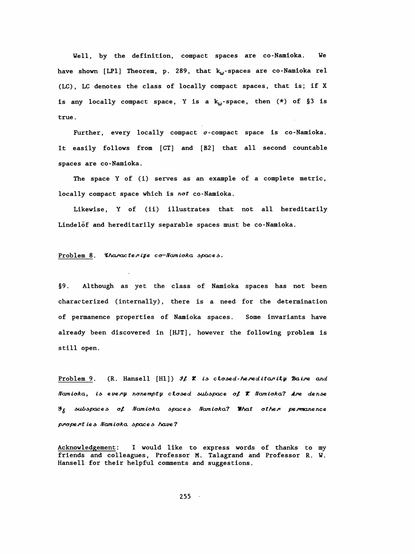Well, by the definition, compact spaces are co-Namioka. We have shown [LP1] Theorem, p. 289, that  $k_{\omega}$ -spaces are co-Namioka rel (LC), LC denotes the class of locally compact spaces, that is; if X is any locally compact space, Y is a  $k_{\omega}$ -space, then  $(*)$  of §3 is true.

Further, every locally compact  $\sigma$ -compact space is co-Namioka. It easily follows from [CT] and [B2] that all second countable spaces are co-Namioka.

The space Y of (i) serves as an example of a complete metric, locally compact space which is not co-Namioka.

Likewise, Y of (ii) illustrates that not all hereditarily Lindelof and hereditarily separable spaces must be co-Namioka.

## Problem 8. Characterize co-Namioka spaces.

 $§9.$ Although as yet the class of Namioka spaces has not been characterized (internally), there is a need for the determination of permanence properties of Namioka spaces. Some invariants have already been discovered in [HJT], however the following problem is still open.

Problem 9. (R. Hansell  $[H1]$ ) If  $X$  is closed-hereditarily Baire and Namioka, is every nonempty closed subspace of X Namioka? Are dense  $\mathscr{G}_{\delta}$  subspaces of Namioka spaces Namioka? What other permanence properties Namicka spaces have?

Acknowledgement: I would like to express words of thanks to my friends and colleagues, Professor M. Talagrand and Professor R. W. Hansell for their helpful comments and suggestions.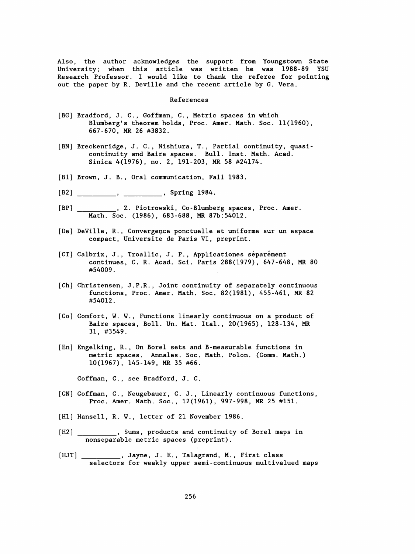Also, the author acknowledges the support from Youngstown State University; when this article was written he was 1988-89 YSU Research Professor. I would like to thank the referee for pointing out the paper by R. Deville and the recent article by G. Vera.

## References

- [BG] Bradford, J. C., Goffman, C., Metric spaces in which Blumberg's theorem holds, Proc. Amer. Math. Soc. 11(1960), 667-670, MR 26 #3832.
- [BN] Breckenridge, J. C., Nishiura, T., Partial continuity, quasi continuity and Baire spaces. Bull. Inst. Math. Acad. Sinica 4(1976), no. 2, 191-203, MR 58 #24174.
- [Bl] Brown, J. B., Oral communication, Fall 1983.
- [B2] \_\_\_\_\_\_\_\_\_, \_\_\_\_\_\_\_\_\_\_, Spring 1984.
- \_\_, Z. Piotrowski, Co-Blumberg spaces, Proc. Amer.  $[BP]$ Math. Soc. (1986), 683-688, MR 87b:54012.
- [De] DeVille, R., Convergence ponctuelle et uniforme sur un espace compact, Université de Paris VI, preprint.
- [CT] Calbrix, J., Troallic, J. P., Applicationes séparément continues, C. R. Acad. Sci. Paris 288(1979), 647-648, MR 80 #54009 .
- [Ch] Christensen, J.P.R., Joint continuity of separately continuous functions, Proc. Amer. Math. Soc. 82(1981), 455-461, MR 82 #54012.
- [Co] Comfort, W. W. , Functions linearly continuous on a product of Baire spaces, Boll. Un. Mat. Ital., 20(1965), 128-134, MR 31, #3549.
- [En] Enge Iking, R. , On Borei sets and B-measurable functions in metric spaces. Annales. Soc. Math. Polon. (Comm. Math.) 10(1967), 145-149, MR 35 #66.

Goffman, C., see Bradford, J. C.

- [GN] Goffman, C. , Neugebauer, C. J., Linearly continuous functions, Proc. Amer. Math. Soc., 12(1961), 997-998, MR 25 #151.
- [H1] Hansell, R. W., letter of 21 November 1986.
- Sums, products and continuity of Borel maps in  $[H2]$ <sub>-</sub> nonseparable metric spaces (preprint) .
- \_\_\_\_, Jayne, J. E., Talagrand, M., First class  $[HJT]$  \_\_ selectors for weakly upper semi -continuous multivalued maps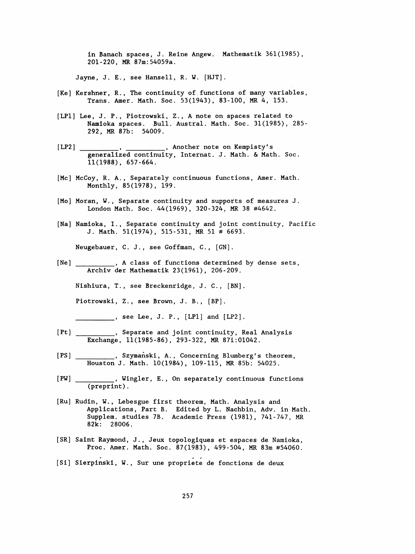in Banach spaces, J. Reine Angew. Mathematik 361(1985), 201-220, MR 87m: 54059a.

Jayne, J. E., see Hansell, R. W. [HJT].

- [Ke] Kershner, R., The continuity of functions of many variables, Trans. Amer. Math. Soc. 53(1943), 83-100, MR 4, 153.
- [LP1] Lee, J. P., Piotrowski, Z., A note on spaces related to Namioka spaces. Bull. Austral. Math. Soc. 31(1985), 285- 292, MR 87b: 54009.
- [LP2] ..., Another note on Kempisty's generalized continuity, Internat. J. Math. & Math. Soc. 11(1988), 657-664.
- [Mc] McCoy, R. A., Separately continuous functions, Amer. Math. Monthly, 85(1978), 199.
- [Mo] Moran, W., Separate continuity and supports of measures J. London Math. Soc. 44(1969), 320-324, MR 38 #4642.
- [Na] Namioka, I., Separate continuity and joint continuity, Pacific J. Math. 51(1974), 515-531, MR 51 # 6693.

Neugebauer, C. J., see Goffman, C. , [GN] .

A class of functions determined by dense sets,  $[Ne]$ Archiv der Mathematik 23(1961), 206-209.

Nishiura, T., see Breckenridge , J. C., [BN].

Piotrowski, Z., see Brown, J. B. , [BP].

 $S = \begin{bmatrix} . & . & . & . \\ . & . & . & . \\ . & . & . & . \end{bmatrix}$  see Lee, J. P., [LP1] and [LP2].

- [Pt] \_\_\_\_\_\_\_\_\_\_, Separate and joint continuity, Real Analysis Exchange, 11(1985-86), 293-322, MR 87i:01042.
- [PS] , Szymański, A., Concerning Blumberg's theorem,<br>Houston J. Math. 10(1984), 109-115, MR 85b: 54025.
- $[$  PW  $]$   $\quad$ (preprint) .
- [Ru] Rudin, W. , Lebesgue first theorem, Math. Analysis and Applications, Part B. Edited by L. Nachbin, Adv. in Math. Supplem. studies 7B. Academic Press (1981), 741-747, MR 82k: 28006.
- [SR] Saint Raymond, J., Jeux topologiques et espaces de Namioka, Proc. Amer. Math. Soc. 87(1983), 499-504, MR 83m #54060.
- [Si] Sierpinski, W., Sur une propriete de fonctions de deux